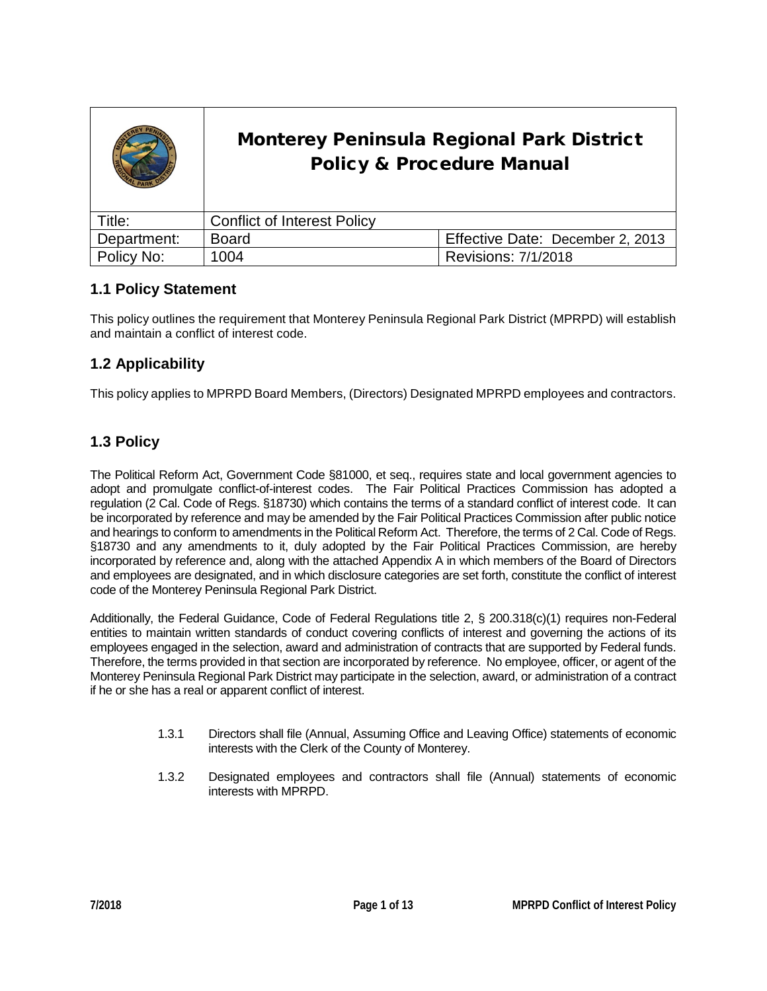|             | <b>Monterey Peninsula Regional Park District</b><br><b>Policy &amp; Procedure Manual</b> |                                  |
|-------------|------------------------------------------------------------------------------------------|----------------------------------|
| Title:      | <b>Conflict of Interest Policy</b>                                                       |                                  |
| Department: | <b>Board</b>                                                                             | Effective Date: December 2, 2013 |
| Policy No:  | 1004                                                                                     | <b>Revisions: 7/1/2018</b>       |

### **1.1 Policy Statement**

This policy outlines the requirement that Monterey Peninsula Regional Park District (MPRPD) will establish and maintain a conflict of interest code.

### **1.2 Applicability**

This policy applies to MPRPD Board Members, (Directors) Designated MPRPD employees and contractors.

### **1.3 Policy**

The Political Reform Act, Government Code §81000, et seq., requires state and local government agencies to adopt and promulgate conflict-of-interest codes. The Fair Political Practices Commission has adopted a regulation (2 Cal. Code of Regs. §18730) which contains the terms of a standard conflict of interest code. It can be incorporated by reference and may be amended by the Fair Political Practices Commission after public notice and hearings to conform to amendments in the Political Reform Act. Therefore, the terms of 2 Cal. Code of Regs. §18730 and any amendments to it, duly adopted by the Fair Political Practices Commission, are hereby incorporated by reference and, along with the attached Appendix A in which members of the Board of Directors and employees are designated, and in which disclosure categories are set forth, constitute the conflict of interest code of the Monterey Peninsula Regional Park District.

Additionally, the Federal Guidance, Code of Federal Regulations title 2, § 200.318(c)(1) requires non-Federal entities to maintain written standards of conduct covering conflicts of interest and governing the actions of its employees engaged in the selection, award and administration of contracts that are supported by Federal funds. Therefore, the terms provided in that section are incorporated by reference. No employee, officer, or agent of the Monterey Peninsula Regional Park District may participate in the selection, award, or administration of a contract if he or she has a real or apparent conflict of interest.

- 1.3.1 Directors shall file (Annual, Assuming Office and Leaving Office) statements of economic interests with the Clerk of the County of Monterey.
- 1.3.2 Designated employees and contractors shall file (Annual) statements of economic interests with MPRPD.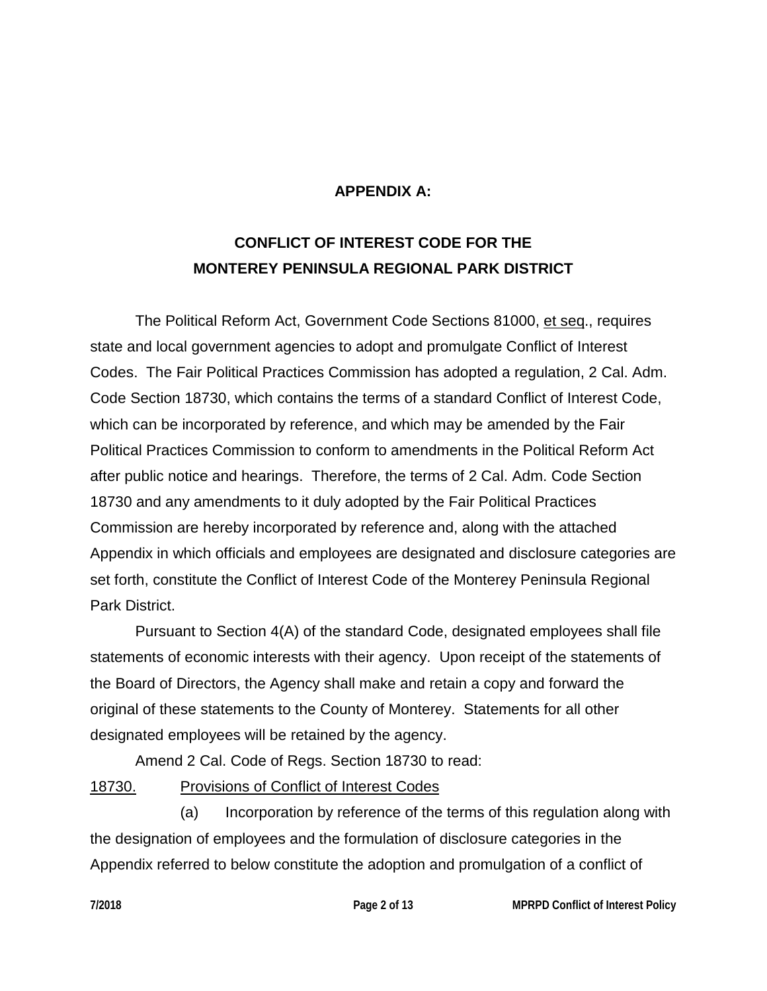## **APPENDIX A:**

# **CONFLICT OF INTEREST CODE FOR THE MONTEREY PENINSULA REGIONAL PARK DISTRICT**

The Political Reform Act, Government Code Sections 81000, et seq., requires state and local government agencies to adopt and promulgate Conflict of Interest Codes. The Fair Political Practices Commission has adopted a regulation, 2 Cal. Adm. Code Section 18730, which contains the terms of a standard Conflict of Interest Code, which can be incorporated by reference, and which may be amended by the Fair Political Practices Commission to conform to amendments in the Political Reform Act after public notice and hearings. Therefore, the terms of 2 Cal. Adm. Code Section 18730 and any amendments to it duly adopted by the Fair Political Practices Commission are hereby incorporated by reference and, along with the attached Appendix in which officials and employees are designated and disclosure categories are set forth, constitute the Conflict of Interest Code of the Monterey Peninsula Regional Park District.

Pursuant to Section 4(A) of the standard Code, designated employees shall file statements of economic interests with their agency. Upon receipt of the statements of the Board of Directors, the Agency shall make and retain a copy and forward the original of these statements to the County of Monterey. Statements for all other designated employees will be retained by the agency.

Amend 2 Cal. Code of Regs. Section 18730 to read:

18730. Provisions of Conflict of Interest Codes

(a) Incorporation by reference of the terms of this regulation along with the designation of employees and the formulation of disclosure categories in the Appendix referred to below constitute the adoption and promulgation of a conflict of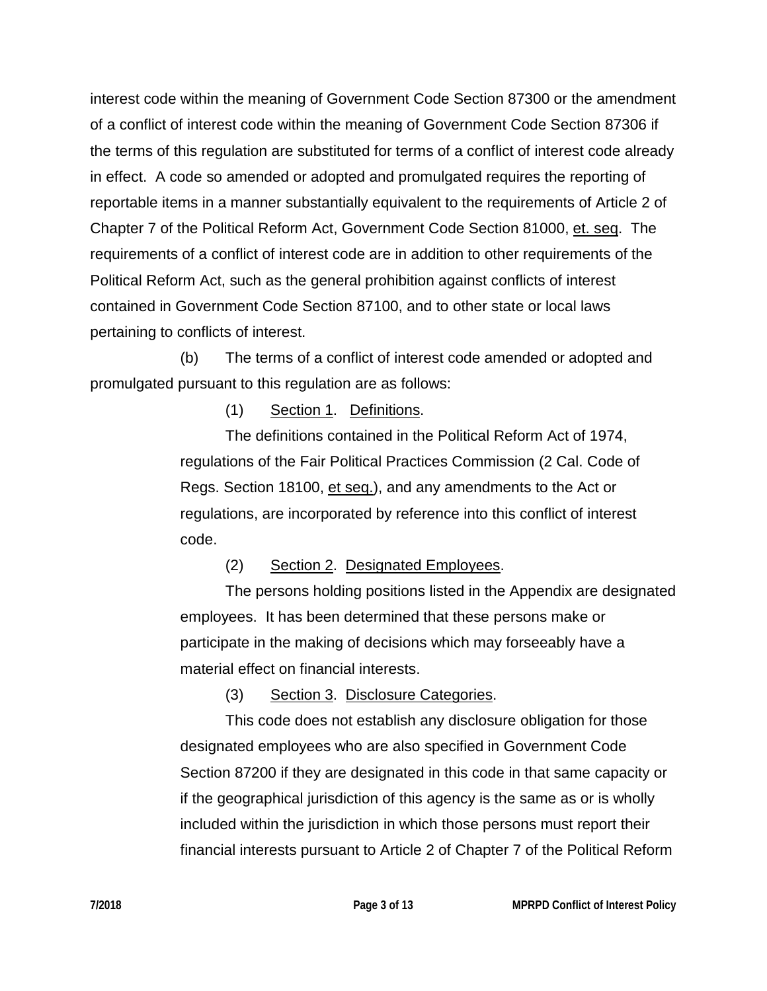interest code within the meaning of Government Code Section 87300 or the amendment of a conflict of interest code within the meaning of Government Code Section 87306 if the terms of this regulation are substituted for terms of a conflict of interest code already in effect. A code so amended or adopted and promulgated requires the reporting of reportable items in a manner substantially equivalent to the requirements of Article 2 of Chapter 7 of the Political Reform Act, Government Code Section 81000, et. seq. The requirements of a conflict of interest code are in addition to other requirements of the Political Reform Act, such as the general prohibition against conflicts of interest contained in Government Code Section 87100, and to other state or local laws pertaining to conflicts of interest.

(b) The terms of a conflict of interest code amended or adopted and promulgated pursuant to this regulation are as follows:

(1) Section 1. Definitions.

The definitions contained in the Political Reform Act of 1974, regulations of the Fair Political Practices Commission (2 Cal. Code of Regs. Section 18100, et seq.), and any amendments to the Act or regulations, are incorporated by reference into this conflict of interest code.

(2) Section 2. Designated Employees.

The persons holding positions listed in the Appendix are designated employees. It has been determined that these persons make or participate in the making of decisions which may forseeably have a material effect on financial interests.

(3) Section 3. Disclosure Categories.

This code does not establish any disclosure obligation for those designated employees who are also specified in Government Code Section 87200 if they are designated in this code in that same capacity or if the geographical jurisdiction of this agency is the same as or is wholly included within the jurisdiction in which those persons must report their financial interests pursuant to Article 2 of Chapter 7 of the Political Reform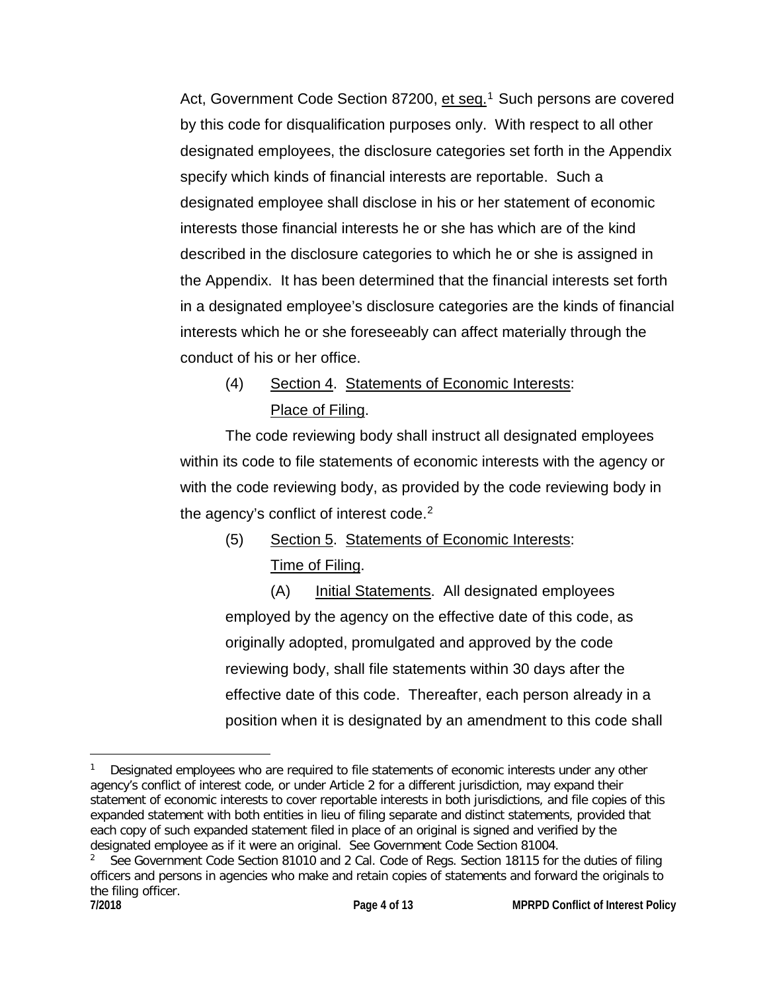Act, Government Code Section 87200, et seq.<sup>1</sup> Such persons are covered by this code for disqualification purposes only. With respect to all other designated employees, the disclosure categories set forth in the Appendix specify which kinds of financial interests are reportable. Such a designated employee shall disclose in his or her statement of economic interests those financial interests he or she has which are of the kind described in the disclosure categories to which he or she is assigned in the Appendix. It has been determined that the financial interests set forth in a designated employee's disclosure categories are the kinds of financial interests which he or she foreseeably can affect materially through the conduct of his or her office.

## (4) Section 4. Statements of Economic Interests: Place of Filing.

The code reviewing body shall instruct all designated employees within its code to file statements of economic interests with the agency or with the code reviewing body, as provided by the code reviewing body in the agency's conflict of interest code.[2](#page-3-1)

# (5) Section 5. Statements of Economic Interests: Time of Filing.

(A) Initial Statements. All designated employees employed by the agency on the effective date of this code, as originally adopted, promulgated and approved by the code reviewing body, shall file statements within 30 days after the effective date of this code. Thereafter, each person already in a position when it is designated by an amendment to this code shall

<span id="page-3-0"></span>I Designated employees who are required to file statements of economic interests under any other agency's conflict of interest code, or under Article 2 for a different jurisdiction, may expand their statement of economic interests to cover reportable interests in both jurisdictions, and file copies of this expanded statement with both entities in lieu of filing separate and distinct statements, provided that each copy of such expanded statement filed in place of an original is signed and verified by the designated employee as if it were an original. See Government Code Section 81004.

<span id="page-3-1"></span>**<sup>7/2018</sup> Page 4 of 13 MPRPD Conflict of Interest Policy** See Government Code Section 81010 and 2 Cal. Code of Regs. Section 18115 for the duties of filing officers and persons in agencies who make and retain copies of statements and forward the originals to the filing officer.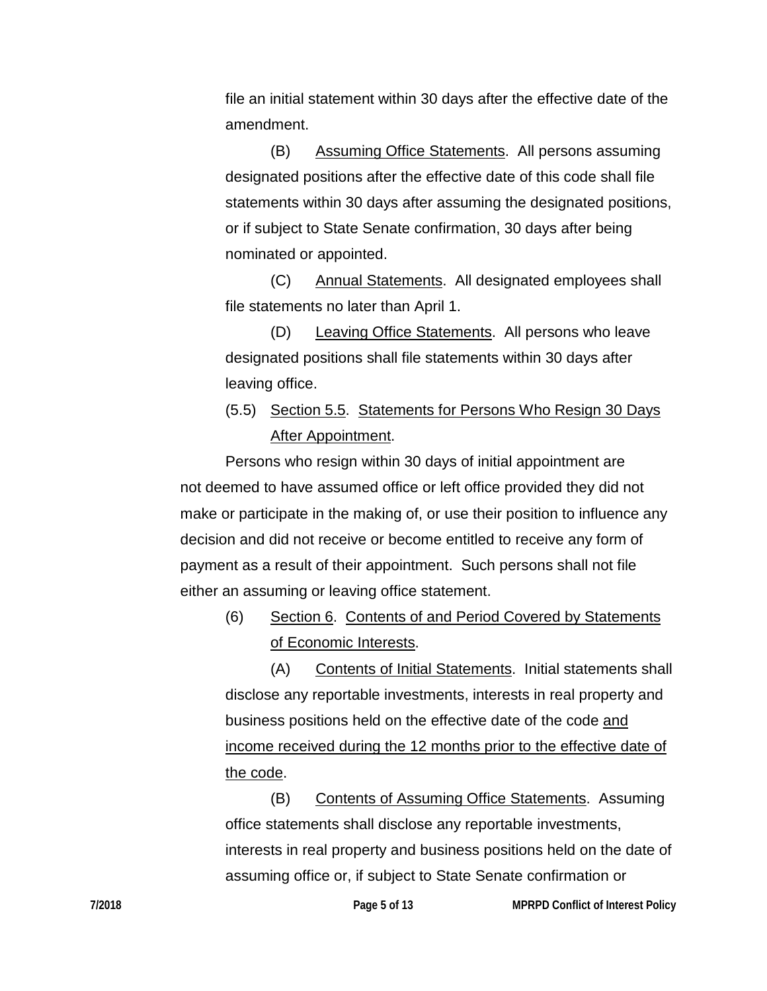file an initial statement within 30 days after the effective date of the amendment.

(B) Assuming Office Statements. All persons assuming designated positions after the effective date of this code shall file statements within 30 days after assuming the designated positions, or if subject to State Senate confirmation, 30 days after being nominated or appointed.

(C) Annual Statements. All designated employees shall file statements no later than April 1.

(D) Leaving Office Statements. All persons who leave designated positions shall file statements within 30 days after leaving office.

## (5.5) Section 5.5. Statements for Persons Who Resign 30 Days After Appointment.

Persons who resign within 30 days of initial appointment are not deemed to have assumed office or left office provided they did not make or participate in the making of, or use their position to influence any decision and did not receive or become entitled to receive any form of payment as a result of their appointment. Such persons shall not file either an assuming or leaving office statement.

(6) Section 6. Contents of and Period Covered by Statements of Economic Interests.

(A) Contents of Initial Statements. Initial statements shall disclose any reportable investments, interests in real property and business positions held on the effective date of the code and income received during the 12 months prior to the effective date of the code.

(B) Contents of Assuming Office Statements. Assuming office statements shall disclose any reportable investments, interests in real property and business positions held on the date of assuming office or, if subject to State Senate confirmation or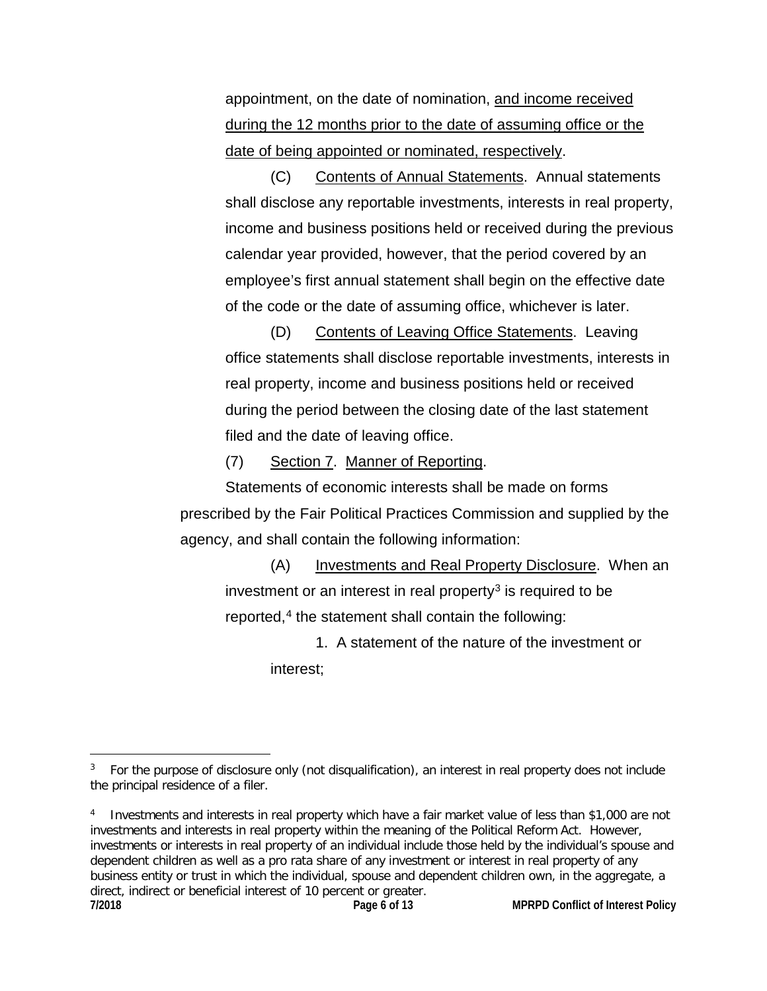appointment, on the date of nomination, and income received during the 12 months prior to the date of assuming office or the date of being appointed or nominated, respectively.

(C) Contents of Annual Statements. Annual statements shall disclose any reportable investments, interests in real property, income and business positions held or received during the previous calendar year provided, however, that the period covered by an employee's first annual statement shall begin on the effective date of the code or the date of assuming office, whichever is later.

(D) Contents of Leaving Office Statements. Leaving office statements shall disclose reportable investments, interests in real property, income and business positions held or received during the period between the closing date of the last statement filed and the date of leaving office.

(7) Section 7. Manner of Reporting.

Statements of economic interests shall be made on forms prescribed by the Fair Political Practices Commission and supplied by the agency, and shall contain the following information:

(A) Investments and Real Property Disclosure. When an investment or an interest in real property<sup>[3](#page-5-0)</sup> is required to be reported,<sup>[4](#page-5-1)</sup> the statement shall contain the following:

> 1. A statement of the nature of the investment or interest;

<span id="page-5-1"></span>**7/2018 Page 6 of 13 MPRPD Conflict of Interest Policy** 4 Investments and interests in real property which have a fair market value of less than \$1,000 are not investments and interests in real property within the meaning of the Political Reform Act. However, investments or interests in real property of an individual include those held by the individual's spouse and dependent children as well as a pro rata share of any investment or interest in real property of any business entity or trust in which the individual, spouse and dependent children own, in the aggregate, a direct, indirect or beneficial interest of 10 percent or greater.

<span id="page-5-0"></span>I 3 For the purpose of disclosure only (not disqualification), an interest in real property does not include the principal residence of a filer.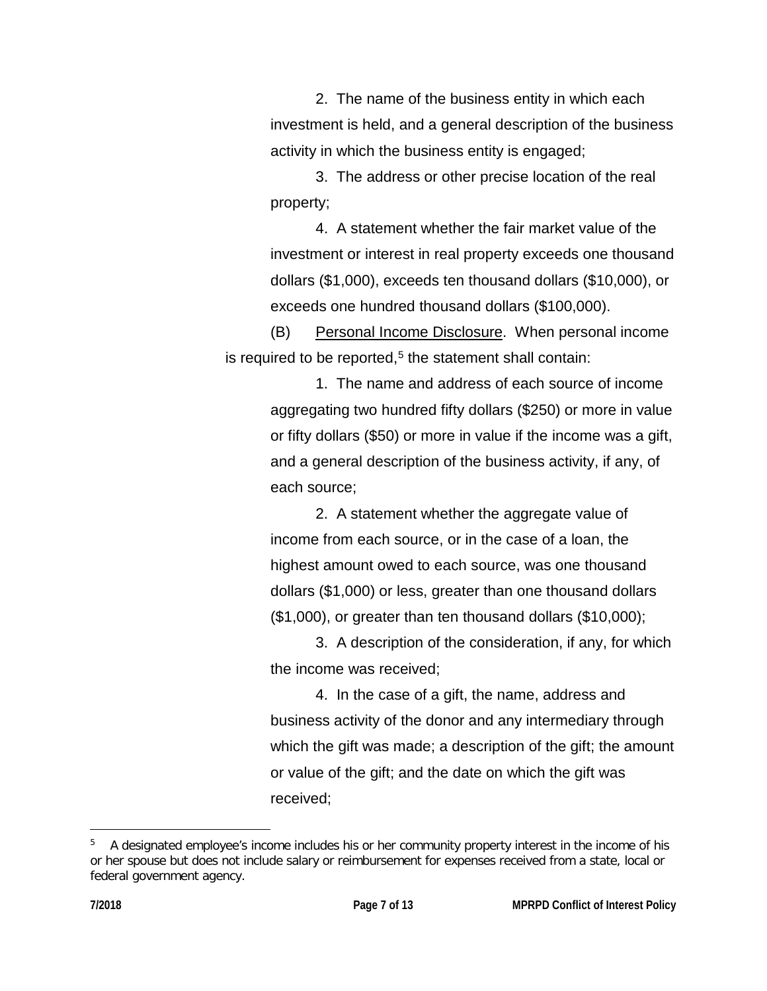2. The name of the business entity in which each investment is held, and a general description of the business activity in which the business entity is engaged;

3. The address or other precise location of the real property;

4. A statement whether the fair market value of the investment or interest in real property exceeds one thousand dollars (\$1,000), exceeds ten thousand dollars (\$10,000), or exceeds one hundred thousand dollars (\$100,000).

(B) Personal Income Disclosure. When personal income is required to be reported,<sup>[5](#page-6-0)</sup> the statement shall contain:

> 1. The name and address of each source of income aggregating two hundred fifty dollars (\$250) or more in value or fifty dollars (\$50) or more in value if the income was a gift, and a general description of the business activity, if any, of each source;

2. A statement whether the aggregate value of income from each source, or in the case of a loan, the highest amount owed to each source, was one thousand dollars (\$1,000) or less, greater than one thousand dollars (\$1,000), or greater than ten thousand dollars (\$10,000);

3. A description of the consideration, if any, for which the income was received;

4. In the case of a gift, the name, address and business activity of the donor and any intermediary through which the gift was made; a description of the gift; the amount or value of the gift; and the date on which the gift was received;

I

<span id="page-6-0"></span><sup>5</sup> A designated employee's income includes his or her community property interest in the income of his or her spouse but does not include salary or reimbursement for expenses received from a state, local or federal government agency.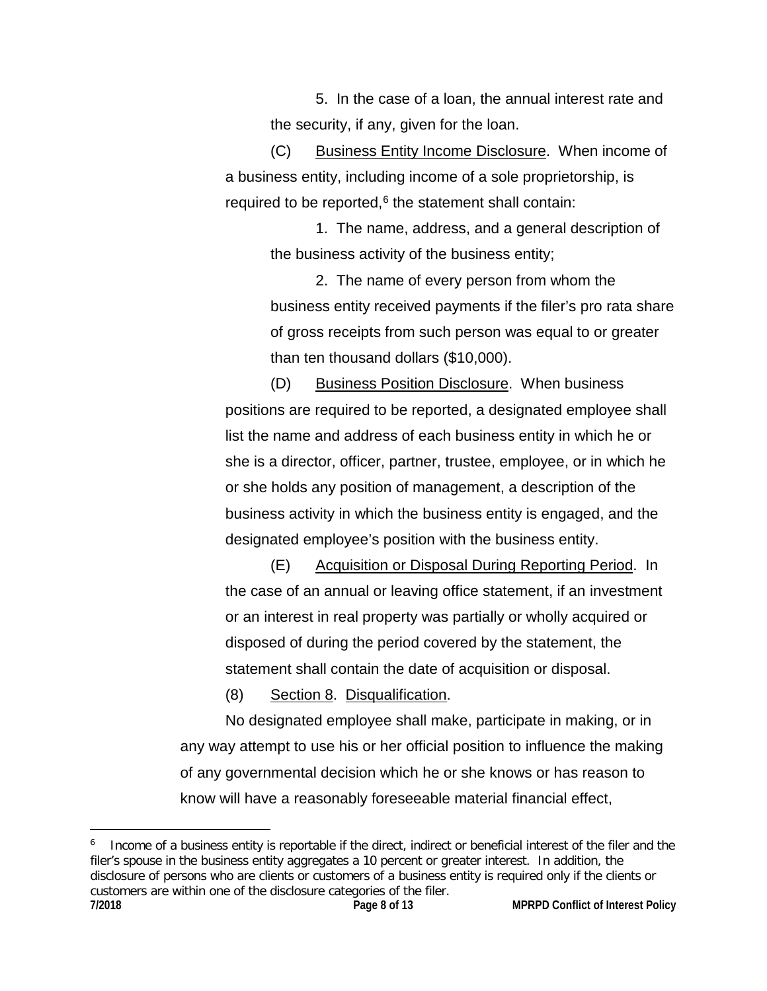5. In the case of a loan, the annual interest rate and the security, if any, given for the loan.

(C) Business Entity Income Disclosure. When income of a business entity, including income of a sole proprietorship, is required to be reported, $6$  the statement shall contain:

1. The name, address, and a general description of the business activity of the business entity;

2. The name of every person from whom the business entity received payments if the filer's pro rata share of gross receipts from such person was equal to or greater than ten thousand dollars (\$10,000).

(D) Business Position Disclosure. When business positions are required to be reported, a designated employee shall list the name and address of each business entity in which he or she is a director, officer, partner, trustee, employee, or in which he or she holds any position of management, a description of the business activity in which the business entity is engaged, and the designated employee's position with the business entity.

(E) Acquisition or Disposal During Reporting Period. In the case of an annual or leaving office statement, if an investment or an interest in real property was partially or wholly acquired or disposed of during the period covered by the statement, the statement shall contain the date of acquisition or disposal.

(8) Section 8. Disqualification.

I

No designated employee shall make, participate in making, or in any way attempt to use his or her official position to influence the making of any governmental decision which he or she knows or has reason to know will have a reasonably foreseeable material financial effect,

<span id="page-7-0"></span>**<sup>7/2018</sup> Page 8 of 13 MPRPD Conflict of Interest Policy** Income of a business entity is reportable if the direct, indirect or beneficial interest of the filer and the filer's spouse in the business entity aggregates a 10 percent or greater interest. In addition, the disclosure of persons who are clients or customers of a business entity is required only if the clients or customers are within one of the disclosure categories of the filer.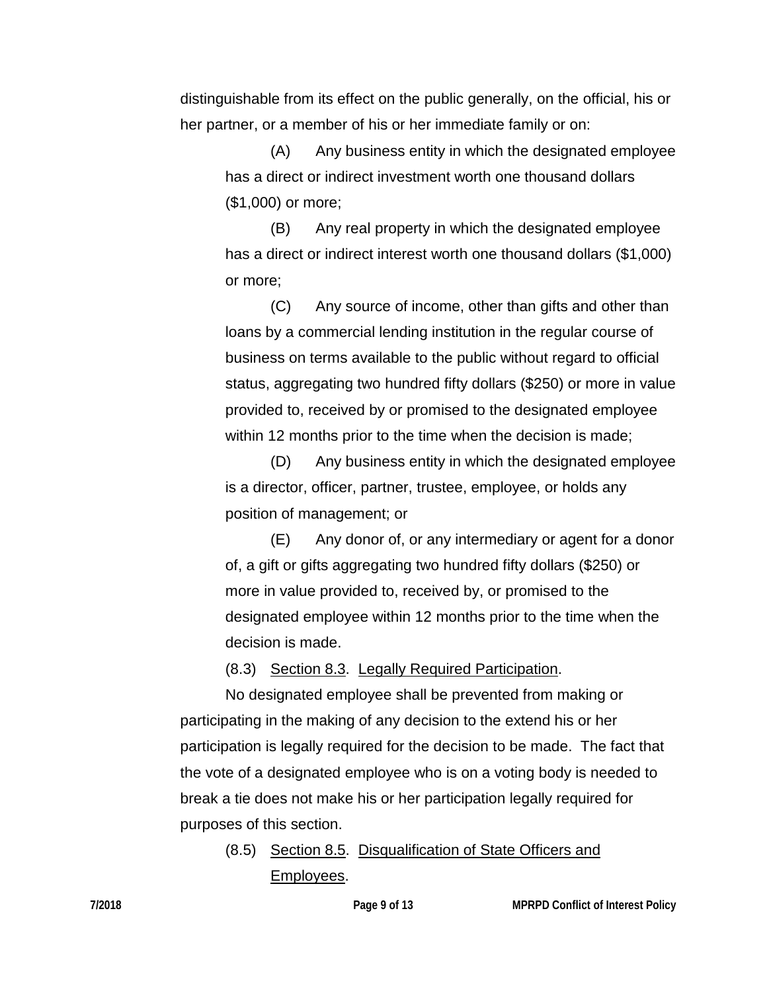distinguishable from its effect on the public generally, on the official, his or her partner, or a member of his or her immediate family or on:

(A) Any business entity in which the designated employee has a direct or indirect investment worth one thousand dollars (\$1,000) or more;

(B) Any real property in which the designated employee has a direct or indirect interest worth one thousand dollars (\$1,000) or more;

(C) Any source of income, other than gifts and other than loans by a commercial lending institution in the regular course of business on terms available to the public without regard to official status, aggregating two hundred fifty dollars (\$250) or more in value provided to, received by or promised to the designated employee within 12 months prior to the time when the decision is made;

(D) Any business entity in which the designated employee is a director, officer, partner, trustee, employee, or holds any position of management; or

(E) Any donor of, or any intermediary or agent for a donor of, a gift or gifts aggregating two hundred fifty dollars (\$250) or more in value provided to, received by, or promised to the designated employee within 12 months prior to the time when the decision is made.

(8.3) Section 8.3. Legally Required Participation.

No designated employee shall be prevented from making or participating in the making of any decision to the extend his or her participation is legally required for the decision to be made. The fact that the vote of a designated employee who is on a voting body is needed to break a tie does not make his or her participation legally required for purposes of this section.

(8.5) Section 8.5. Disqualification of State Officers and Employees.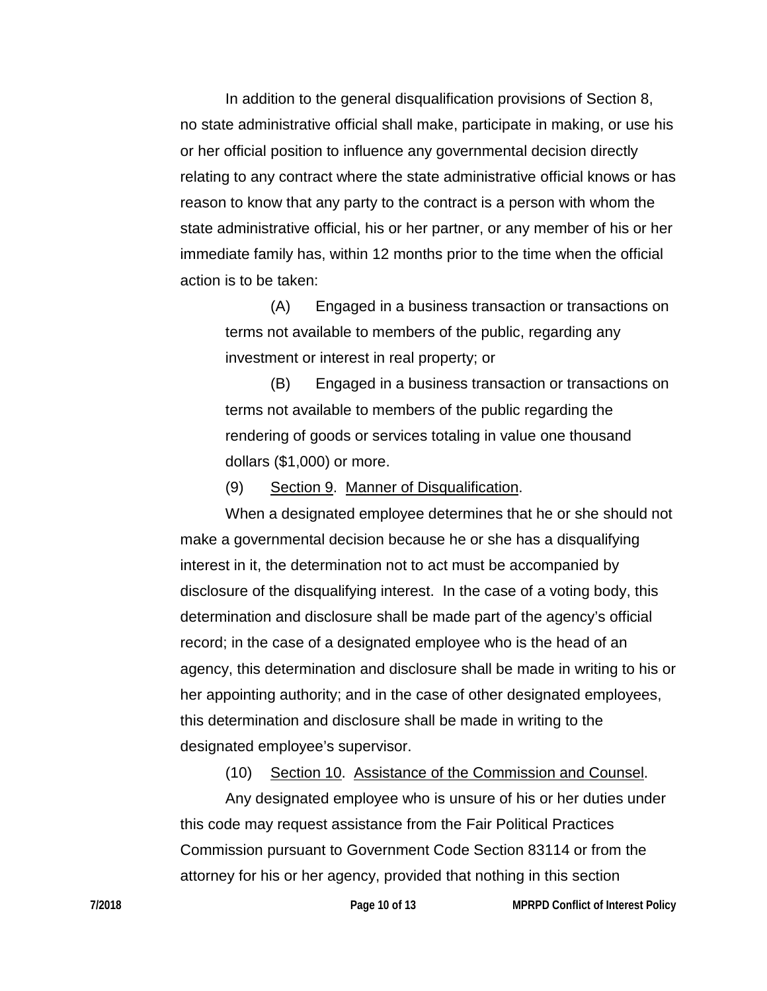In addition to the general disqualification provisions of Section 8, no state administrative official shall make, participate in making, or use his or her official position to influence any governmental decision directly relating to any contract where the state administrative official knows or has reason to know that any party to the contract is a person with whom the state administrative official, his or her partner, or any member of his or her immediate family has, within 12 months prior to the time when the official action is to be taken:

(A) Engaged in a business transaction or transactions on terms not available to members of the public, regarding any investment or interest in real property; or

(B) Engaged in a business transaction or transactions on terms not available to members of the public regarding the rendering of goods or services totaling in value one thousand dollars (\$1,000) or more.

(9) Section 9. Manner of Disqualification.

When a designated employee determines that he or she should not make a governmental decision because he or she has a disqualifying interest in it, the determination not to act must be accompanied by disclosure of the disqualifying interest. In the case of a voting body, this determination and disclosure shall be made part of the agency's official record; in the case of a designated employee who is the head of an agency, this determination and disclosure shall be made in writing to his or her appointing authority; and in the case of other designated employees, this determination and disclosure shall be made in writing to the designated employee's supervisor.

(10) Section 10. Assistance of the Commission and Counsel.

Any designated employee who is unsure of his or her duties under this code may request assistance from the Fair Political Practices Commission pursuant to Government Code Section 83114 or from the attorney for his or her agency, provided that nothing in this section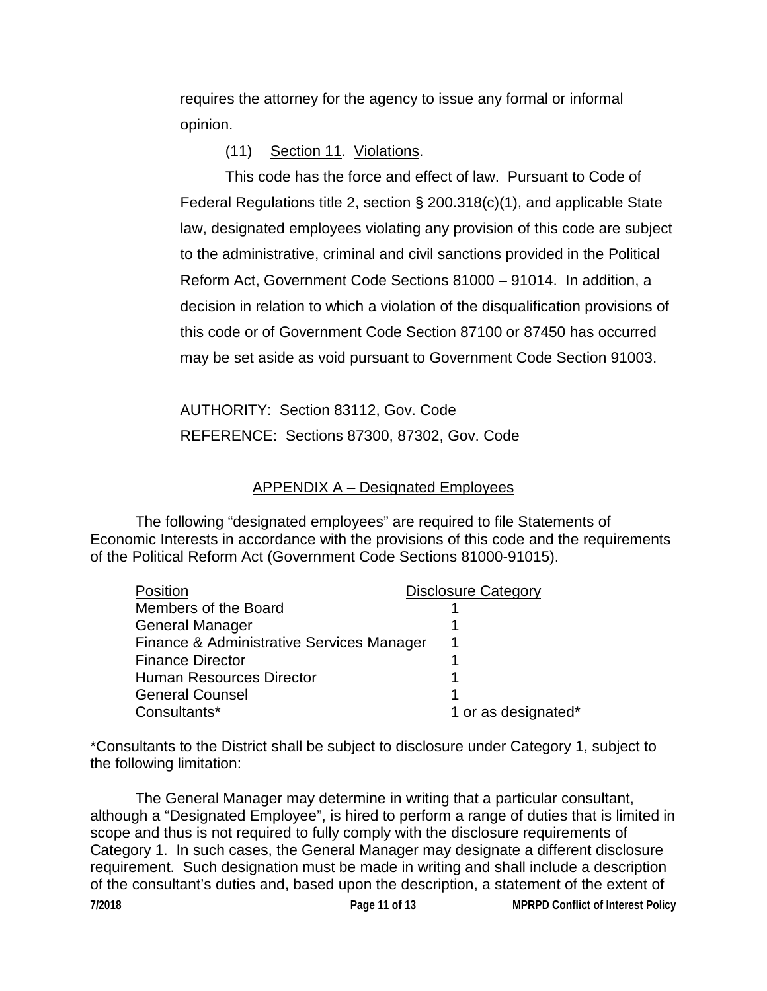requires the attorney for the agency to issue any formal or informal opinion.

(11) Section 11. Violations.

This code has the force and effect of law. Pursuant to Code of Federal Regulations title 2, section § 200.318(c)(1), and applicable State law, designated employees violating any provision of this code are subject to the administrative, criminal and civil sanctions provided in the Political Reform Act, Government Code Sections 81000 – 91014. In addition, a decision in relation to which a violation of the disqualification provisions of this code or of Government Code Section 87100 or 87450 has occurred may be set aside as void pursuant to Government Code Section 91003.

AUTHORITY: Section 83112, Gov. Code REFERENCE: Sections 87300, 87302, Gov. Code

### APPENDIX A – Designated Employees

The following "designated employees" are required to file Statements of Economic Interests in accordance with the provisions of this code and the requirements of the Political Reform Act (Government Code Sections 81000-91015).

| Position                                  | <b>Disclosure Category</b> |
|-------------------------------------------|----------------------------|
| Members of the Board                      |                            |
| <b>General Manager</b>                    |                            |
| Finance & Administrative Services Manager | 1                          |
| <b>Finance Director</b>                   |                            |
| <b>Human Resources Director</b>           |                            |
| <b>General Counsel</b>                    |                            |
| Consultants*                              | 1 or as designated*        |

\*Consultants to the District shall be subject to disclosure under Category 1, subject to the following limitation:

**7/2018 Page 11 of 13 MPRPD Conflict of Interest Policy** The General Manager may determine in writing that a particular consultant, although a "Designated Employee", is hired to perform a range of duties that is limited in scope and thus is not required to fully comply with the disclosure requirements of Category 1. In such cases, the General Manager may designate a different disclosure requirement. Such designation must be made in writing and shall include a description of the consultant's duties and, based upon the description, a statement of the extent of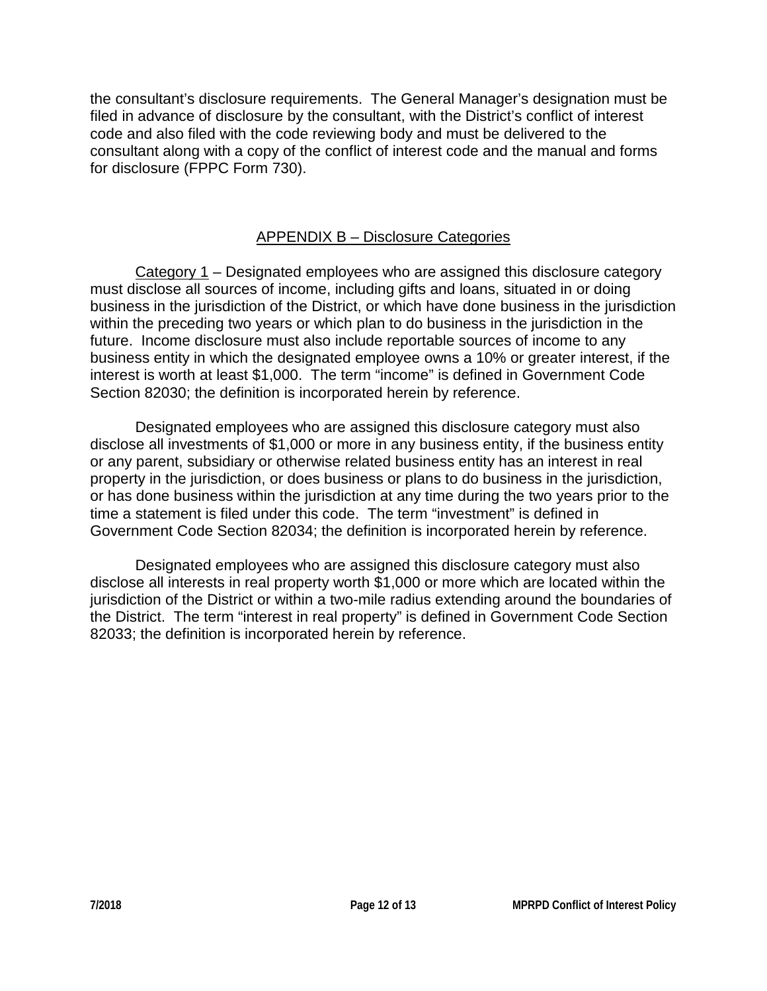the consultant's disclosure requirements. The General Manager's designation must be filed in advance of disclosure by the consultant, with the District's conflict of interest code and also filed with the code reviewing body and must be delivered to the consultant along with a copy of the conflict of interest code and the manual and forms for disclosure (FPPC Form 730).

### APPENDIX B – Disclosure Categories

Category 1 – Designated employees who are assigned this disclosure category must disclose all sources of income, including gifts and loans, situated in or doing business in the jurisdiction of the District, or which have done business in the jurisdiction within the preceding two years or which plan to do business in the jurisdiction in the future. Income disclosure must also include reportable sources of income to any business entity in which the designated employee owns a 10% or greater interest, if the interest is worth at least \$1,000. The term "income" is defined in Government Code Section 82030; the definition is incorporated herein by reference.

Designated employees who are assigned this disclosure category must also disclose all investments of \$1,000 or more in any business entity, if the business entity or any parent, subsidiary or otherwise related business entity has an interest in real property in the jurisdiction, or does business or plans to do business in the jurisdiction, or has done business within the jurisdiction at any time during the two years prior to the time a statement is filed under this code. The term "investment" is defined in Government Code Section 82034; the definition is incorporated herein by reference.

Designated employees who are assigned this disclosure category must also disclose all interests in real property worth \$1,000 or more which are located within the jurisdiction of the District or within a two-mile radius extending around the boundaries of the District. The term "interest in real property" is defined in Government Code Section 82033; the definition is incorporated herein by reference.